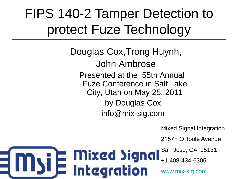#### FIPS 140-2 Tamper Detection to protect Fuze Technology

**Mixed Signal** 

**i** E Mixed Signe<br><u>I E</u> Integration

Douglas Cox,Trong Huynh, John Ambrose Presented at the 55th Annual Fuze Conference in Salt Lake City, Utah on May 25, 2011 by Douglas Cox info@mix-sig.com

Mixed Signal Integration

2157F O'Toole Avenue

San Jose, CA 95131

+1 408-434-6305

[www.mix-sig.com](http://www.mix-sig.com/)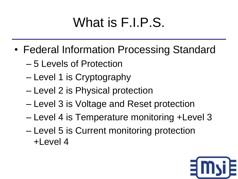#### What is F.I.P.S.

- Federal Information Processing Standard
	- 5 Levels of Protection
	- Level 1 is Cryptography
	- Level 2 is Physical protection
	- Level 3 is Voltage and Reset protection
	- Level 4 is Temperature monitoring +Level 3
	- Level 5 is Current monitoring protection +Level 4

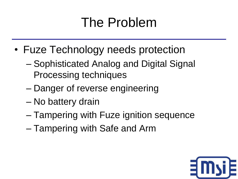#### The Problem

- Fuze Technology needs protection
	- Sophisticated Analog and Digital Signal Processing techniques
	- Danger of reverse engineering
	- No battery drain
	- Tampering with Fuze ignition sequence
	- Tampering with Safe and Arm

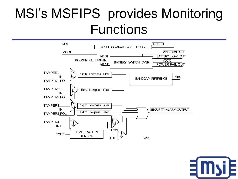#### MSI's MSFIPS provides Monitoring Functions



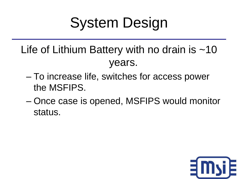# System Design

- Life of Lithium Battery with no drain is  $\sim$ 10 years.
	- To increase life, switches for access power the MSFIPS.
	- Once case is opened, MSFIPS would monitor status.

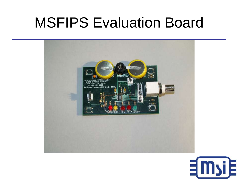#### MSFIPS Evaluation Board



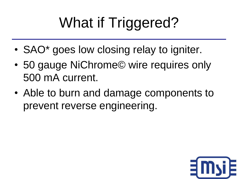# What if Triggered?

- SAO<sup>\*</sup> goes low closing relay to igniter.
- 50 gauge NiChrome© wire requires only 500 mA current.
- Able to burn and damage components to prevent reverse engineering.

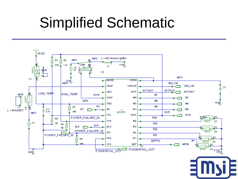## Simplified Schematic

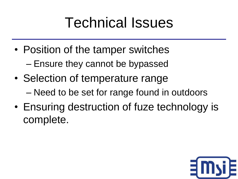## Technical Issues

- Position of the tamper switches – Ensure they cannot be bypassed
- Selection of temperature range – Need to be set for range found in outdoors
- Ensuring destruction of fuze technology is complete.